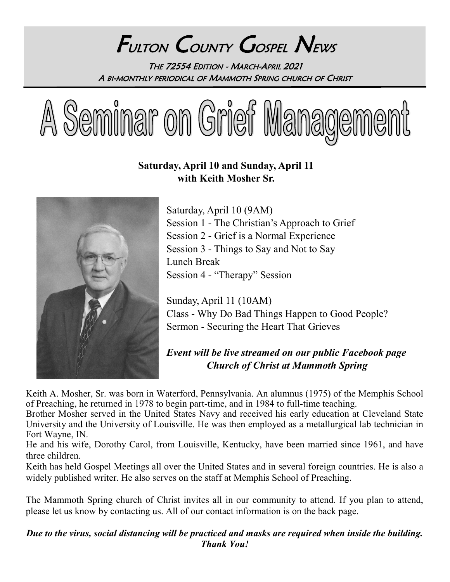# FULTON COUNTY GOSPEL NEWS THE 72554 EDITION - MARCH-APRIL 2021 A BI-MONTHLY PERIODICAL OF MAMMOTH SPRING CHURCH OF CHRIST



## **Saturday, April 10 and Sunday, April 11 with Keith Mosher Sr.**



Saturday, April 10 (9AM) Session 1 - The Christian's Approach to Grief Session 2 - Grief is a Normal Experience Session 3 - Things to Say and Not to Say Lunch Break Session 4 - "Therapy" Session

Sunday, April 11 (10AM) Class - Why Do Bad Things Happen to Good People? Sermon - Securing the Heart That Grieves

# *Event will be live streamed on our public Facebook page Church of Christ at Mammoth Spring*

Keith A. Mosher, Sr. was born in Waterford, Pennsylvania. An alumnus (1975) of the Memphis School of Preaching, he returned in 1978 to begin part-time, and in 1984 to full-time teaching.

Brother Mosher served in the United States Navy and received his early education at Cleveland State University and the University of Louisville. He was then employed as a metallurgical lab technician in Fort Wayne, IN.

He and his wife, Dorothy Carol, from Louisville, Kentucky, have been married since 1961, and have three children.

Keith has held Gospel Meetings all over the United States and in several foreign countries. He is also a widely published writer. He also serves on the staff at Memphis School of Preaching.

The Mammoth Spring church of Christ invites all in our community to attend. If you plan to attend, please let us know by contacting us. All of our contact information is on the back page.

*Due to the virus, social distancing will be practiced and masks are required when inside the building. Thank You!*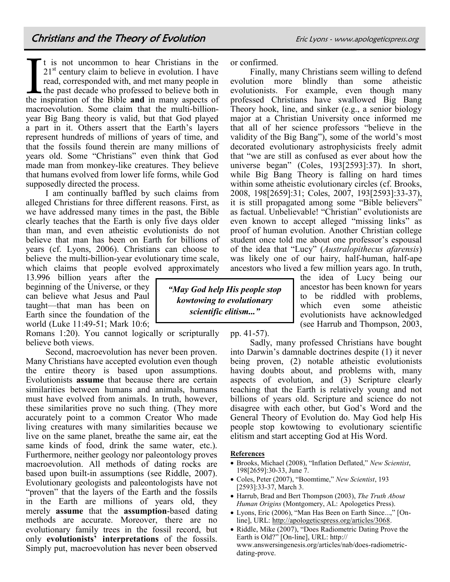If is not uncommon to hear Christians in the 21<sup>st</sup> century claim to believe in evolution. I have read, corresponded with, and met many people in the past decade who professed to believe both in the inspiration of the Bibl t is not uncommon to hear Christians in the  $21<sup>st</sup>$  century claim to believe in evolution. I have read, corresponded with, and met many people in the past decade who professed to believe both in macroevolution. Some claim that the multi-billionyear Big Bang theory is valid, but that God played a part in it. Others assert that the Earth's layers represent hundreds of millions of years of time, and that the fossils found therein are many millions of years old. Some "Christians" even think that God made man from monkey-like creatures. They believe that humans evolved from lower life forms, while God supposedly directed the process.

I am continually baffled by such claims from alleged Christians for three different reasons. First, as we have addressed many times in the past, the Bible clearly teaches that the Earth is only five days older than man, and even atheistic evolutionists do not believe that man has been on Earth for billions of years (cf. [Lyons,](https://apologeticspress.org/articles/3068) 2006). Christians can choose to believe the multi-billion-year evolutionary time scale, which claims that people evolved approximately

13.996 billion years after the beginning of the Universe, or they can believe what Jesus and Paul taught—that man has been on Earth since the foundation of the world (Luke 11:49-51; Mark 10:6;

Romans 1:20). You cannot logically or scripturally believe both views.

Second, macroevolution has never been proven. Many Christians have accepted evolution even though the entire theory is based upon assumptions. Evolutionists **assume** that because there are certain similarities between humans and animals, humans must have evolved from animals. In truth, however, these similarities prove no such thing. (They more accurately point to a common Creator Who made living creatures with many similarities because we live on the same planet, breathe the same air, eat the same kinds of food, drink the same water, etc.). Furthermore, neither geology nor paleontology proves macroevolution. All methods of dating rocks are based upon built-in assumptions (see Riddle, 2007). Evolutionary geologists and paleontologists have not "proven" that the layers of the Earth and the fossils in the Earth are millions of years old, they merely **assume** that the **assumption**-based dating methods are accurate. Moreover, there are no evolutionary family trees in the fossil record, but only **evolutionists' interpretations** of the fossils. Simply put, macroevolution has never been observed

or confirmed.

Finally, many Christians seem willing to defend evolution more blindly than some atheistic evolutionists. For example, even though many professed Christians have swallowed Big Bang Theory hook, line, and sinker (e.g., a senior biology major at a Christian University once informed me that all of her science professors "believe in the validity of the Big Bang"), some of the world's most decorated evolutionary astrophysicists freely admit that "we are still as confused as ever about how the universe began" (Coles, 193[2593]:37). In short, while Big Bang Theory is falling on hard times within some atheistic evolutionary circles (cf. Brooks, 2008, 198[2659]:31; Coles, 2007, 193[2593]:33-37), it is still propagated among some "Bible believers" as factual. Unbelievable! "Christian" evolutionists are even known to accept alleged "missing links" as proof of human evolution. Another Christian college student once told me about one professor's espousal of the idea that "Lucy" (*Australopithecus afarensis*) was likely one of our hairy, half-human, half-ape ancestors who lived a few million years ago. In truth,

the idea of Lucy being our ancestor has been known for years to be riddled with problems, which even some atheistic evolutionists have acknowledged (see Harrub and Thompson, 2003,

*"May God help His people stop kowtowing to evolutionary scientific elitism..."*

pp. 41-57).

Sadly, many professed Christians have bought into Darwin's damnable doctrines despite (1) it never being proven, (2) notable atheistic evolutionists having doubts about, and problems with, many aspects of evolution, and (3) Scripture clearly teaching that the Earth is relatively young and not billions of years old. Scripture and science do not disagree with each other, but God's Word and the General Theory of Evolution do. May God help His people stop kowtowing to evolutionary scientific elitism and start accepting God at His Word.

#### **References**

- Brooks, Michael (2008), "Inflation Deflated," *New Scientist*, 198[2659]:30-33, June 7.
- Coles, Peter (2007), "Boomtime," *New Scientist*, 193 [2593]:33-37, March 3.
- Harrub, Brad and Bert Thompson (2003), *The Truth About Human Origins* (Montgomery, AL: Apologetics Press).
- Lyons, Eric (2006), "Man Has Been on Earth Since...," [Online], URL: [http://apologeticspress.org/articles/3068.](https://apologeticspress.org/articles/3068)
- Riddle, Mike (2007), "Does Radiometric Dating Prove the Earth is Old?" [On-line], URL: http:// www.answersingenesis.org/articles/nab/does-radiometricdating-prove.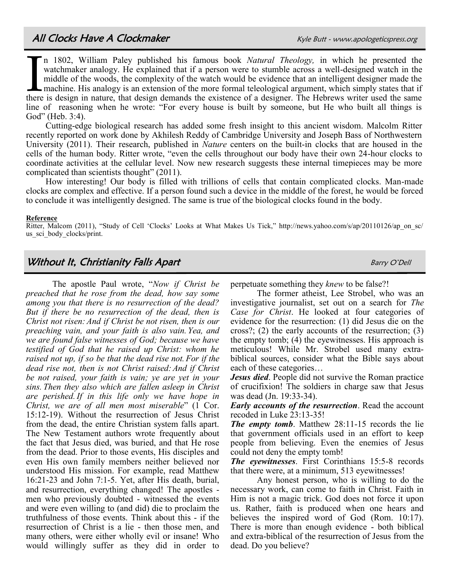In 1802, William Paley published his famous book *Natural Theology*, in which he presented the watchmaker analogy. He explained that if a person were to stumble across a well-designed watch in the middle of the woods, the n 1802, William Paley published his famous book *Natural Theology,* in which he presented the watchmaker analogy. He explained that if a person were to stumble across a well-designed watch in the middle of the woods, the complexity of the watch would be evidence that an intelligent designer made the machine. His analogy is an extension of the more formal teleological argument, which simply states that if line of reasoning when he wrote: "For every house is built by someone, but He who built all things is God" (Heb. 3:4).

Cutting-edge biological research has added some fresh insight to this ancient wisdom. Malcolm Ritter recently reported on work done by Akhilesh Reddy of Cambridge University and Joseph Bass of Northwestern University (2011). Their research, published in *Nature* centers on the built-in clocks that are housed in the cells of the human body. Ritter wrote, "even the cells throughout our body have their own 24-hour clocks to coordinate activities at the cellular level. Now new research suggests these internal timepieces may be more complicated than scientists thought" (2011).

How interesting! Our body is filled with trillions of cells that contain complicated clocks. Man-made clocks are complex and effective. If a person found such a device in the middle of the forest, he would be forced to conclude it was intelligently designed. The same is true of the biological clocks found in the body.

#### **Reference**

Ritter, Malcom (2011), "Study of Cell 'Clocks' Looks at What Makes Us Tick," http://news.yahoo.com/s/ap/20110126/ap\_on\_sc/ us\_sci\_body\_clocks/print.

#### **Without It, Christianity Falls Apart Accord Barry O'Dell** Barry O'Dell

The apostle Paul wrote, "*Now if Christ be preached that he rose from the dead, how say some among you that there is no resurrection of the dead? But if there be no resurrection of the dead, then is Christ not risen: And if Christ be not risen, then is our preaching vain, and your faith is also vain. Yea, and we are found false witnesses of God; because we have testified of God that he raised up Christ: whom he raised not up, if so be that the dead rise not. For if the dead rise not, then is not Christ raised:And if Christ be not raised, your faith is vain; ye are yet in your sins. Then they also which are fallen asleep in Christ are perished.If in this life only we have hope in Christ, we are of all men most miserable*" (1 Cor. 15:12-19). Without the resurrection of Jesus Christ from the dead, the entire Christian system falls apart. The New Testament authors wrote frequently about the fact that Jesus died, was buried, and that He rose from the dead. Prior to those events, His disciples and even His own family members neither believed nor understood His mission. For example, read Matthew 16:21-23 and John 7:1-5. Yet, after His death, burial, and resurrection, everything changed! The apostles men who previously doubted - witnessed the events and were even willing to (and did) die to proclaim the truthfulness of those events. Think about this - if the resurrection of Christ is a lie - then those men, and many others, were either wholly evil or insane! Who would willingly suffer as they did in order to

perpetuate something they *knew* to be false?!

The former atheist, Lee Strobel, who was an investigative journalist, set out on a search for *The Case for Christ*. He looked at four categories of evidence for the resurrection: (1) did Jesus die on the cross?; (2) the early accounts of the resurrection; (3) the empty tomb; (4) the eyewitnesses. His approach is meticulous! While Mr. Strobel used many extrabiblical sources, consider what the Bible says about each of these categories…

*Jesus died*. People did not survive the Roman practice of crucifixion! The soldiers in charge saw that Jesus was dead (Jn. 19:33-34).

*Early accounts of the resurrection*. Read the account recoded in Luke 23:13-35!

*The empty tomb*. Matthew 28:11-15 records the lie that government officials used in an effort to keep people from believing. Even the enemies of Jesus could not deny the empty tomb!

*The eyewitnesses*. First Corinthians 15:5-8 records that there were, at a minimum, 513 eyewitnesses!

Any honest person, who is willing to do the necessary work, can come to faith in Christ. Faith in Him is not a magic trick. God does not force it upon us. Rather, faith is produced when one hears and believes the inspired word of God (Rom. 10:17). There is more than enough evidence - both biblical and extra-biblical of the resurrection of Jesus from the dead. Do you believe?